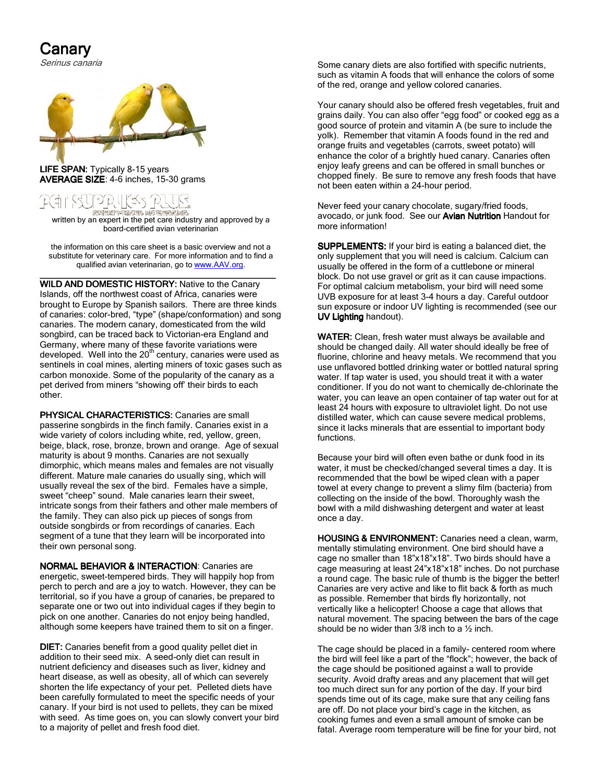## Canary

Serinus canaria



LIFE SPAN: Typically 8-15 years AVERAGE SIZE: 4-6 inches, 15-30 grams



**জসনকা দামওক এক চেন্টেকেলে কেনেকে।**<br>written by an expert in the pet care industry and approved by a board-certified avian veterinarian

the information on this care sheet is a basic overview and not a substitute for veterinary care. For more information and to find a qualified avian veterinarian, go to www.AAV.org.

\_\_\_\_\_\_\_\_\_\_\_\_\_\_\_\_\_\_\_\_\_\_\_\_\_\_\_\_\_\_\_\_\_\_\_\_\_\_\_\_\_\_\_\_\_\_\_\_ \_\_\_\_\_\_\_\_\_\_\_\_\_\_\_\_\_\_\_\_\_\_\_\_\_\_\_\_\_\_\_\_\_\_\_\_\_\_\_\_\_\_\_\_\_\_\_\_ WILD AND DOMESTIC HISTORY: Native to the Canary Islands, off the northwest coast of Africa, canaries were brought to Europe by Spanish sailors. There are three kinds of canaries: color-bred, "type" (shape/conformation) and song canaries. The modern canary, domesticated from the wild songbird, can be traced back to Victorian-era England and Germany, where many of these favorite variations were developed. Well into the 20<sup>th</sup> century, canaries were used as sentinels in coal mines, alerting miners of toxic gases such as carbon monoxide. Some of the popularity of the canary as a pet derived from miners "showing off' their birds to each other.

PHYSICAL CHARACTERISTICS: Canaries are small passerine songbirds in the finch family. Canaries exist in a wide variety of colors including white, red, yellow, green, beige, black, rose, bronze, brown and orange. Age of sexual maturity is about 9 months. Canaries are not sexually dimorphic, which means males and females are not visually different. Mature male canaries do usually sing, which will usually reveal the sex of the bird. Females have a simple, sweet "cheep" sound. Male canaries learn their sweet, intricate songs from their fathers and other male members of the family. They can also pick up pieces of songs from outside songbirds or from recordings of canaries. Each segment of a tune that they learn will be incorporated into their own personal song.

NORMAL BEHAVIOR & INTERACTION: Canaries are energetic, sweet-tempered birds. They will happily hop from perch to perch and are a joy to watch. However, they can be territorial, so if you have a group of canaries, be prepared to separate one or two out into individual cages if they begin to pick on one another. Canaries do not enjoy being handled, although some keepers have trained them to sit on a finger.

**DIET:** Canaries benefit from a good quality pellet diet in addition to their seed mix. A seed-only diet can result in nutrient deficiency and diseases such as liver, kidney and heart disease, as well as obesity, all of which can severely shorten the life expectancy of your pet. Pelleted diets have been carefully formulated to meet the specific needs of your canary. If your bird is not used to pellets, they can be mixed with seed. As time goes on, you can slowly convert your bird to a majority of pellet and fresh food diet.

Some canary diets are also fortified with specific nutrients, such as vitamin A foods that will enhance the colors of some of the red, orange and yellow colored canaries.

Your canary should also be offered fresh vegetables, fruit and grains daily. You can also offer "egg food" or cooked egg as a good source of protein and vitamin A (be sure to include the yolk). Remember that vitamin A foods found in the red and orange fruits and vegetables (carrots, sweet potato) will enhance the color of a brightly hued canary. Canaries often enjoy leafy greens and can be offered in small bunches or chopped finely. Be sure to remove any fresh foods that have not been eaten within a 24-hour period.

Never feed your canary chocolate, sugary/fried foods, avocado, or junk food. See our Avian Nutrition Handout for more information!

SUPPLEMENTS: If your bird is eating a balanced diet, the only supplement that you will need is calcium. Calcium can usually be offered in the form of a cuttlebone or mineral block. Do not use gravel or grit as it can cause impactions. For optimal calcium metabolism, your bird will need some UVB exposure for at least 3-4 hours a day. Careful outdoor sun exposure or indoor UV lighting is recommended (see our UV Lighting handout).

WATER: Clean, fresh water must always be available and should be changed daily. All water should ideally be free of fluorine, chlorine and heavy metals. We recommend that you use unflavored bottled drinking water or bottled natural spring water. If tap water is used, you should treat it with a water conditioner. If you do not want to chemically de-chlorinate the water, you can leave an open container of tap water out for at least 24 hours with exposure to ultraviolet light. Do not use distilled water, which can cause severe medical problems, since it lacks minerals that are essential to important body functions.

Because your bird will often even bathe or dunk food in its water, it must be checked/changed several times a day. It is recommended that the bowl be wiped clean with a paper towel at every change to prevent a slimy film (bacteria) from collecting on the inside of the bowl. Thoroughly wash the bowl with a mild dishwashing detergent and water at least once a day.

HOUSING & ENVIRONMENT: Canaries need a clean, warm, mentally stimulating environment. One bird should have a cage no smaller than 18"x18"x18". Two birds should have a cage measuring at least 24"x18"x18" inches. Do not purchase a round cage. The basic rule of thumb is the bigger the better! Canaries are very active and like to flit back & forth as much as possible. Remember that birds fly horizontally, not vertically like a helicopter! Choose a cage that allows that natural movement. The spacing between the bars of the cage should be no wider than 3/8 inch to a ½ inch.

The cage should be placed in a family- centered room where the bird will feel like a part of the "flock"; however, the back of the cage should be positioned against a wall to provide security. Avoid drafty areas and any placement that will get too much direct sun for any portion of the day. If your bird spends time out of its cage, make sure that any ceiling fans are off. Do not place your bird's cage in the kitchen, as cooking fumes and even a small amount of smoke can be fatal. Average room temperature will be fine for your bird, not